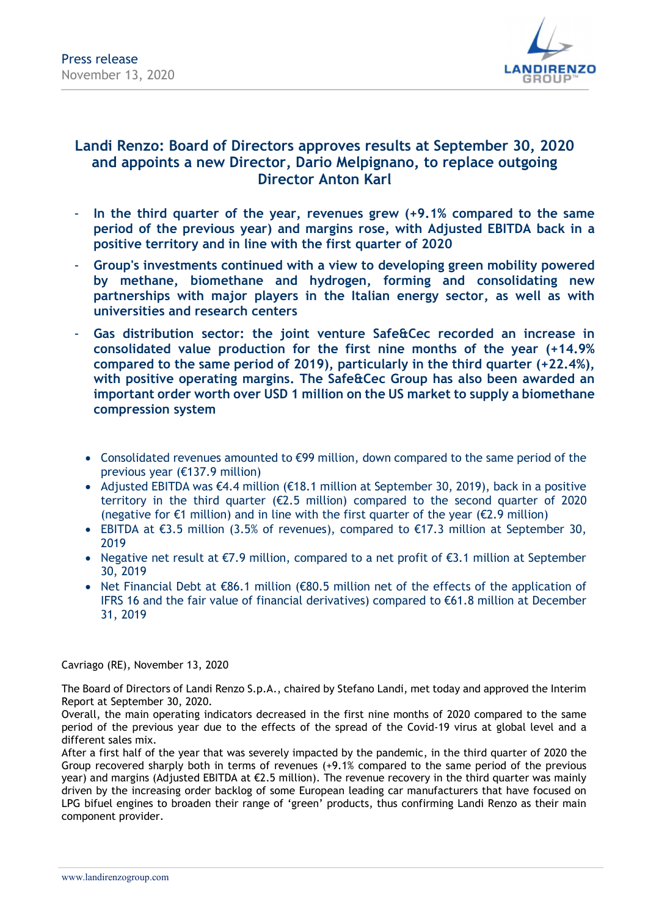

# Landi Renzo: Board of Directors approves results at September 30, 2020 and appoints a new Director, Dario Melpignano, to replace outgoing Director Anton Karl

- In the third quarter of the year, revenues grew (+9.1% compared to the same period of the previous year) and margins rose, with Adjusted EBITDA back in a positive territory and in line with the first quarter of 2020
- Group's investments continued with a view to developing green mobility powered by methane, biomethane and hydrogen, forming and consolidating new partnerships with major players in the Italian energy sector, as well as with universities and research centers
- Gas distribution sector: the joint venture Safe&Cec recorded an increase in consolidated value production for the first nine months of the year (+14.9% compared to the same period of 2019), particularly in the third quarter (+22.4%), with positive operating margins. The Safe&Cec Group has also been awarded an important order worth over USD 1 million on the US market to supply a biomethane compression system
	- Consolidated revenues amounted to €99 million, down compared to the same period of the previous year (€137.9 million)
	- Adjusted EBITDA was  $\epsilon$ 4.4 million ( $\epsilon$ 18.1 million at September 30, 2019), back in a positive territory in the third quarter  $(E2.5 \text{ million})$  compared to the second quarter of 2020 (negative for €1 million) and in line with the first quarter of the year (€2.9 million)
	- EBITDA at €3.5 million (3.5% of revenues), compared to €17.3 million at September 30, 2019
	- Negative net result at  $\epsilon$ 7.9 million, compared to a net profit of  $\epsilon$ 3.1 million at September 30, 2019
	- Net Financial Debt at €86.1 million (€80.5 million net of the effects of the application of IFRS 16 and the fair value of financial derivatives) compared to €61.8 million at December 31, 2019

Cavriago (RE), November 13, 2020

The Board of Directors of Landi Renzo S.p.A., chaired by Stefano Landi, met today and approved the Interim Report at September 30, 2020.

Overall, the main operating indicators decreased in the first nine months of 2020 compared to the same period of the previous year due to the effects of the spread of the Covid-19 virus at global level and a different sales mix.

After a first half of the year that was severely impacted by the pandemic, in the third quarter of 2020 the Group recovered sharply both in terms of revenues (+9.1% compared to the same period of the previous year) and margins (Adjusted EBITDA at €2.5 million). The revenue recovery in the third quarter was mainly driven by the increasing order backlog of some European leading car manufacturers that have focused on LPG bifuel engines to broaden their range of 'green' products, thus confirming Landi Renzo as their main component provider.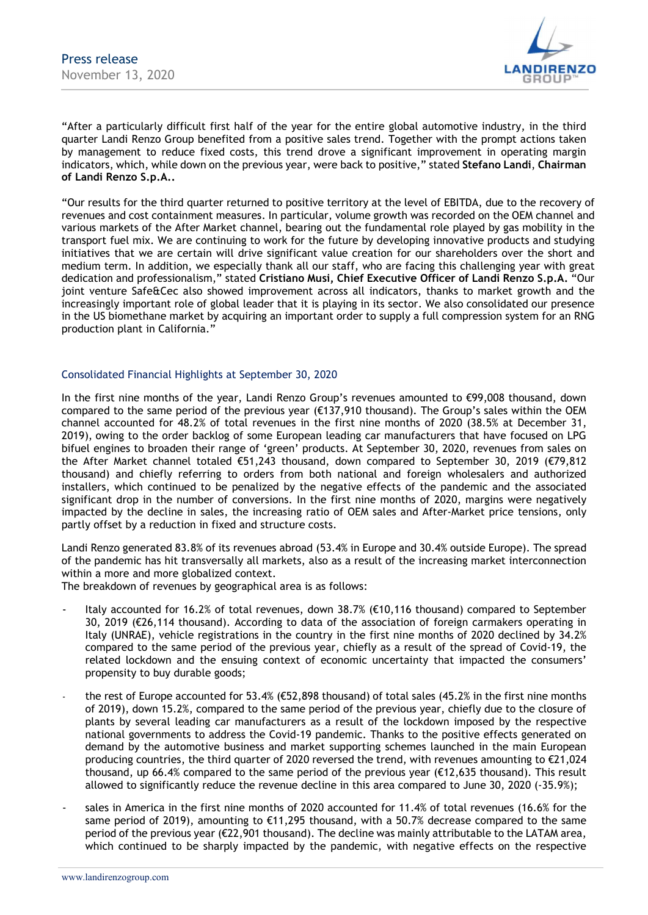

"After a particularly difficult first half of the year for the entire global automotive industry, in the third quarter Landi Renzo Group benefited from a positive sales trend. Together with the prompt actions taken by management to reduce fixed costs, this trend drove a significant improvement in operating margin indicators, which, while down on the previous year, were back to positive," stated Stefano Landi, Chairman of Landi Renzo S.p.A..

"Our results for the third quarter returned to positive territory at the level of EBITDA, due to the recovery of revenues and cost containment measures. In particular, volume growth was recorded on the OEM channel and various markets of the After Market channel, bearing out the fundamental role played by gas mobility in the transport fuel mix. We are continuing to work for the future by developing innovative products and studying initiatives that we are certain will drive significant value creation for our shareholders over the short and medium term. In addition, we especially thank all our staff, who are facing this challenging year with great dedication and professionalism," stated Cristiano Musi, Chief Executive Officer of Landi Renzo S.p.A. "Our joint venture Safe&Cec also showed improvement across all indicators, thanks to market growth and the increasingly important role of global leader that it is playing in its sector. We also consolidated our presence in the US biomethane market by acquiring an important order to supply a full compression system for an RNG production plant in California."

### Consolidated Financial Highlights at September 30, 2020

In the first nine months of the year, Landi Renzo Group's revenues amounted to €99,008 thousand, down compared to the same period of the previous year (€137,910 thousand). The Group's sales within the OEM channel accounted for 48.2% of total revenues in the first nine months of 2020 (38.5% at December 31, 2019), owing to the order backlog of some European leading car manufacturers that have focused on LPG bifuel engines to broaden their range of 'green' products. At September 30, 2020, revenues from sales on the After Market channel totaled €51,243 thousand, down compared to September 30, 2019 (€79,812 thousand) and chiefly referring to orders from both national and foreign wholesalers and authorized installers, which continued to be penalized by the negative effects of the pandemic and the associated significant drop in the number of conversions. In the first nine months of 2020, margins were negatively impacted by the decline in sales, the increasing ratio of OEM sales and After-Market price tensions, only partly offset by a reduction in fixed and structure costs.

Landi Renzo generated 83.8% of its revenues abroad (53.4% in Europe and 30.4% outside Europe). The spread of the pandemic has hit transversally all markets, also as a result of the increasing market interconnection within a more and more globalized context.

The breakdown of revenues by geographical area is as follows:

- Italy accounted for 16.2% of total revenues, down 38.7% ( $\epsilon$ 10,116 thousand) compared to September 30, 2019 (€26,114 thousand). According to data of the association of foreign carmakers operating in Italy (UNRAE), vehicle registrations in the country in the first nine months of 2020 declined by 34.2% compared to the same period of the previous year, chiefly as a result of the spread of Covid-19, the related lockdown and the ensuing context of economic uncertainty that impacted the consumers' propensity to buy durable goods;
- the rest of Europe accounted for 53.4% ( $\epsilon$ 52,898 thousand) of total sales (45.2% in the first nine months of 2019), down 15.2%, compared to the same period of the previous year, chiefly due to the closure of plants by several leading car manufacturers as a result of the lockdown imposed by the respective national governments to address the Covid-19 pandemic. Thanks to the positive effects generated on demand by the automotive business and market supporting schemes launched in the main European producing countries, the third quarter of 2020 reversed the trend, with revenues amounting to €21,024 thousand, up 66.4% compared to the same period of the previous year (€12,635 thousand). This result allowed to significantly reduce the revenue decline in this area compared to June 30, 2020 (-35.9%);
- sales in America in the first nine months of 2020 accounted for 11.4% of total revenues (16.6% for the same period of 2019), amounting to  $\epsilon$ 11,295 thousand, with a 50.7% decrease compared to the same period of the previous year (€22,901 thousand). The decline was mainly attributable to the LATAM area, which continued to be sharply impacted by the pandemic, with negative effects on the respective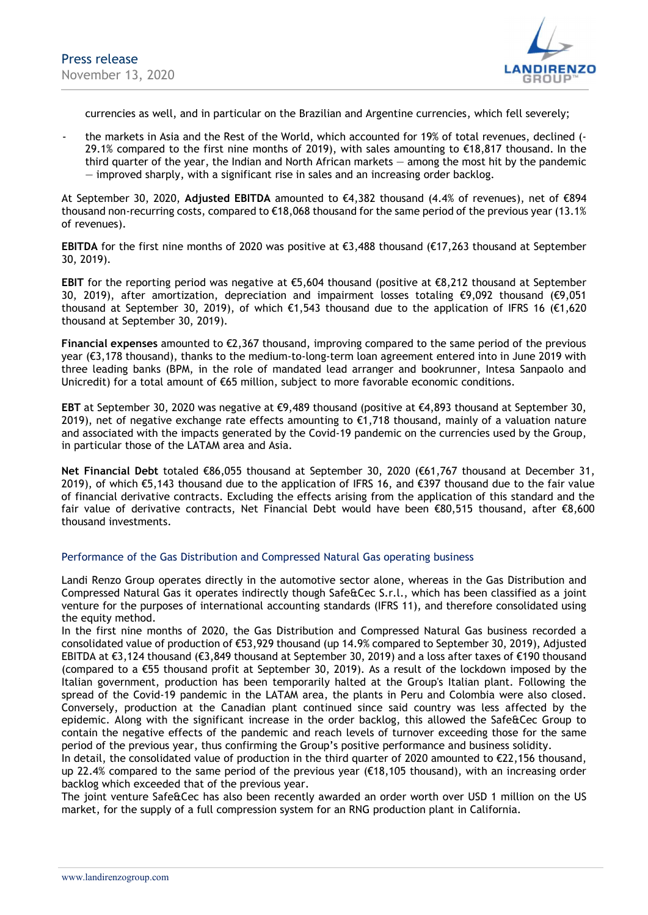

currencies as well, and in particular on the Brazilian and Argentine currencies, which fell severely;

the markets in Asia and the Rest of the World, which accounted for 19% of total revenues, declined (-29.1% compared to the first nine months of 2019), with sales amounting to  $\epsilon$ 18.817 thousand. In the third quarter of the year, the Indian and North African markets — among the most hit by the pandemic — improved sharply, with a significant rise in sales and an increasing order backlog.

At September 30, 2020, Adjusted EBITDA amounted to €4,382 thousand (4.4% of revenues), net of €894 thousand non-recurring costs, compared to €18,068 thousand for the same period of the previous year (13.1% of revenues).

EBITDA for the first nine months of 2020 was positive at €3,488 thousand (€17,263 thousand at September 30, 2019).

**EBIT** for the reporting period was negative at €5,604 thousand (positive at €8,212 thousand at September 30, 2019), after amortization, depreciation and impairment losses totaling €9,092 thousand (€9,051 thousand at September 30, 2019), of which  $\epsilon$ 1,543 thousand due to the application of IFRS 16 ( $\epsilon$ 1,620 thousand at September 30, 2019).

Financial expenses amounted to  $\epsilon$ 2,367 thousand, improving compared to the same period of the previous year (€3,178 thousand), thanks to the medium-to-long-term loan agreement entered into in June 2019 with three leading banks (BPM, in the role of mandated lead arranger and bookrunner, Intesa Sanpaolo and Unicredit) for a total amount of €65 million, subject to more favorable economic conditions.

EBT at September 30, 2020 was negative at €9,489 thousand (positive at €4,893 thousand at September 30, 2019), net of negative exchange rate effects amounting to  $\epsilon$ 1,718 thousand, mainly of a valuation nature and associated with the impacts generated by the Covid-19 pandemic on the currencies used by the Group, in particular those of the LATAM area and Asia.

Net Financial Debt totaled €86,055 thousand at September 30, 2020 (€61,767 thousand at December 31, 2019), of which €5,143 thousand due to the application of IFRS 16, and €397 thousand due to the fair value of financial derivative contracts. Excluding the effects arising from the application of this standard and the fair value of derivative contracts, Net Financial Debt would have been €80,515 thousand, after €8,600 thousand investments.

## Performance of the Gas Distribution and Compressed Natural Gas operating business

Landi Renzo Group operates directly in the automotive sector alone, whereas in the Gas Distribution and Compressed Natural Gas it operates indirectly though Safe&Cec S.r.l., which has been classified as a joint venture for the purposes of international accounting standards (IFRS 11), and therefore consolidated using the equity method.

In the first nine months of 2020, the Gas Distribution and Compressed Natural Gas business recorded a consolidated value of production of €53,929 thousand (up 14.9% compared to September 30, 2019), Adjusted EBITDA at €3,124 thousand (€3,849 thousand at September 30, 2019) and a loss after taxes of €190 thousand (compared to a €55 thousand profit at September 30, 2019). As a result of the lockdown imposed by the Italian government, production has been temporarily halted at the Group's Italian plant. Following the spread of the Covid-19 pandemic in the LATAM area, the plants in Peru and Colombia were also closed. Conversely, production at the Canadian plant continued since said country was less affected by the epidemic. Along with the significant increase in the order backlog, this allowed the Safe&Cec Group to contain the negative effects of the pandemic and reach levels of turnover exceeding those for the same period of the previous year, thus confirming the Group's positive performance and business solidity.

In detail, the consolidated value of production in the third quarter of 2020 amounted to €22,156 thousand, up 22.4% compared to the same period of the previous year ( $\epsilon$ 18,105 thousand), with an increasing order backlog which exceeded that of the previous year.

The joint venture Safe&Cec has also been recently awarded an order worth over USD 1 million on the US market, for the supply of a full compression system for an RNG production plant in California.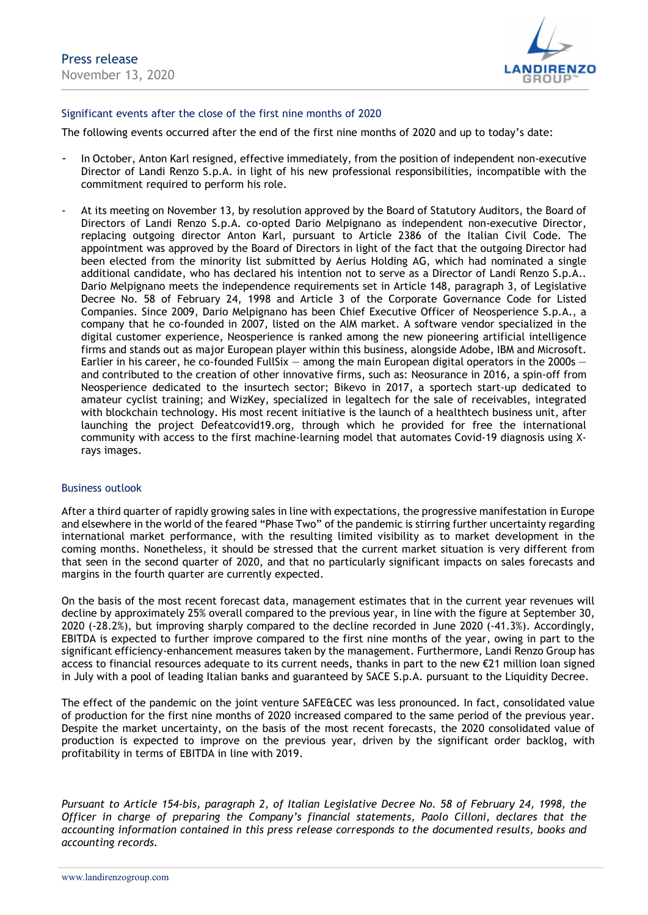

## Significant events after the close of the first nine months of 2020

The following events occurred after the end of the first nine months of 2020 and up to today's date:

- In October, Anton Karl resigned, effective immediately, from the position of independent non-executive Director of Landi Renzo S.p.A. in light of his new professional responsibilities, incompatible with the commitment required to perform his role.
- At its meeting on November 13, by resolution approved by the Board of Statutory Auditors, the Board of Directors of Landi Renzo S.p.A. co-opted Dario Melpignano as independent non-executive Director, replacing outgoing director Anton Karl, pursuant to Article 2386 of the Italian Civil Code. The appointment was approved by the Board of Directors in light of the fact that the outgoing Director had been elected from the minority list submitted by Aerius Holding AG, which had nominated a single additional candidate, who has declared his intention not to serve as a Director of Landi Renzo S.p.A.. Dario Melpignano meets the independence requirements set in Article 148, paragraph 3, of Legislative Decree No. 58 of February 24, 1998 and Article 3 of the Corporate Governance Code for Listed Companies. Since 2009, Dario Melpignano has been Chief Executive Officer of Neosperience S.p.A., a company that he co-founded in 2007, listed on the AIM market. A software vendor specialized in the digital customer experience, Neosperience is ranked among the new pioneering artificial intelligence firms and stands out as major European player within this business, alongside Adobe, IBM and Microsoft. Earlier in his career, he co-founded FullSix  $-$  among the main European digital operators in the 2000s  $$ and contributed to the creation of other innovative firms, such as: Neosurance in 2016, a spin-off from Neosperience dedicated to the insurtech sector; Bikevo in 2017, a sportech start-up dedicated to amateur cyclist training; and WizKey, specialized in legaltech for the sale of receivables, integrated with blockchain technology. His most recent initiative is the launch of a healthtech business unit, after launching the project Defeatcovid19.org, through which he provided for free the international community with access to the first machine-learning model that automates Covid-19 diagnosis using Xrays images.

#### Business outlook

After a third quarter of rapidly growing sales in line with expectations, the progressive manifestation in Europe and elsewhere in the world of the feared "Phase Two" of the pandemic is stirring further uncertainty regarding international market performance, with the resulting limited visibility as to market development in the coming months. Nonetheless, it should be stressed that the current market situation is very different from that seen in the second quarter of 2020, and that no particularly significant impacts on sales forecasts and margins in the fourth quarter are currently expected.

On the basis of the most recent forecast data, management estimates that in the current year revenues will decline by approximately 25% overall compared to the previous year, in line with the figure at September 30, 2020 (-28.2%), but improving sharply compared to the decline recorded in June 2020 (-41.3%). Accordingly, EBITDA is expected to further improve compared to the first nine months of the year, owing in part to the significant efficiency-enhancement measures taken by the management. Furthermore, Landi Renzo Group has access to financial resources adequate to its current needs, thanks in part to the new €21 million loan signed in July with a pool of leading Italian banks and guaranteed by SACE S.p.A. pursuant to the Liquidity Decree.

The effect of the pandemic on the joint venture SAFE&CEC was less pronounced. In fact, consolidated value of production for the first nine months of 2020 increased compared to the same period of the previous year. Despite the market uncertainty, on the basis of the most recent forecasts, the 2020 consolidated value of production is expected to improve on the previous year, driven by the significant order backlog, with profitability in terms of EBITDA in line with 2019.

Pursuant to Article 154-bis, paragraph 2, of Italian Legislative Decree No. 58 of February 24, 1998, the Officer in charge of preparing the Company's financial statements, Paolo Cilloni, declares that the accounting information contained in this press release corresponds to the documented results, books and accounting records.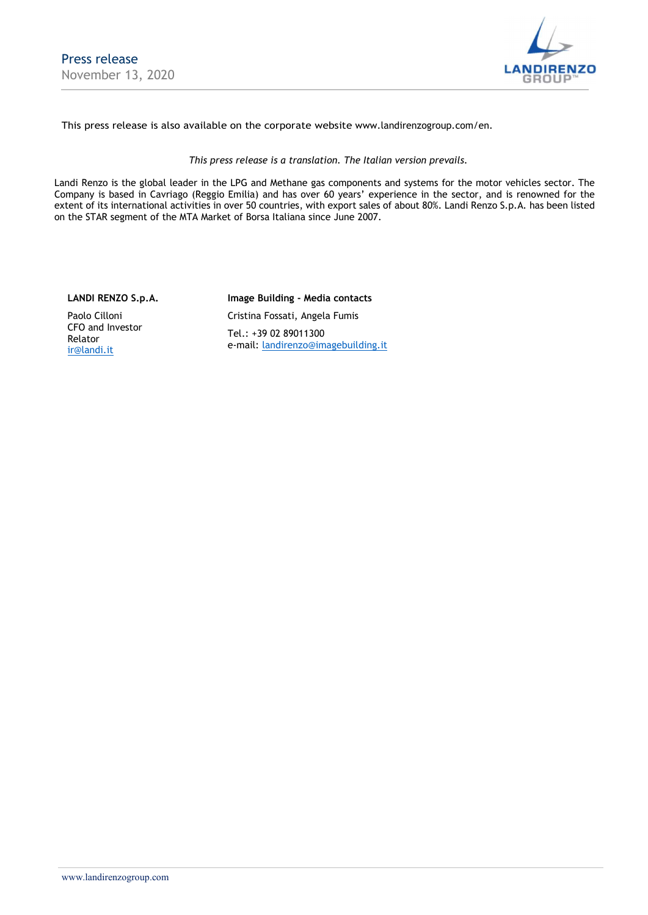

#### This press release is also available on the corporate website www.landirenzogroup.com/en.

#### This press release is a translation. The Italian version prevails.

Landi Renzo is the global leader in the LPG and Methane gas components and systems for the motor vehicles sector. The Company is based in Cavriago (Reggio Emilia) and has over 60 years' experience in the sector, and is renowned for the extent of its international activities in over 50 countries, with export sales of about 80%. Landi Renzo S.p.A. has been listed on the STAR segment of the MTA Market of Borsa Italiana since June 2007.

LANDI RENZO S.p.A.

Paolo Cilloni CFO and Investor Relator ir@landi.it

Image Building - Media contacts Cristina Fossati, Angela Fumis Tel.: +39 02 89011300 e-mail: landirenzo@imagebuilding.it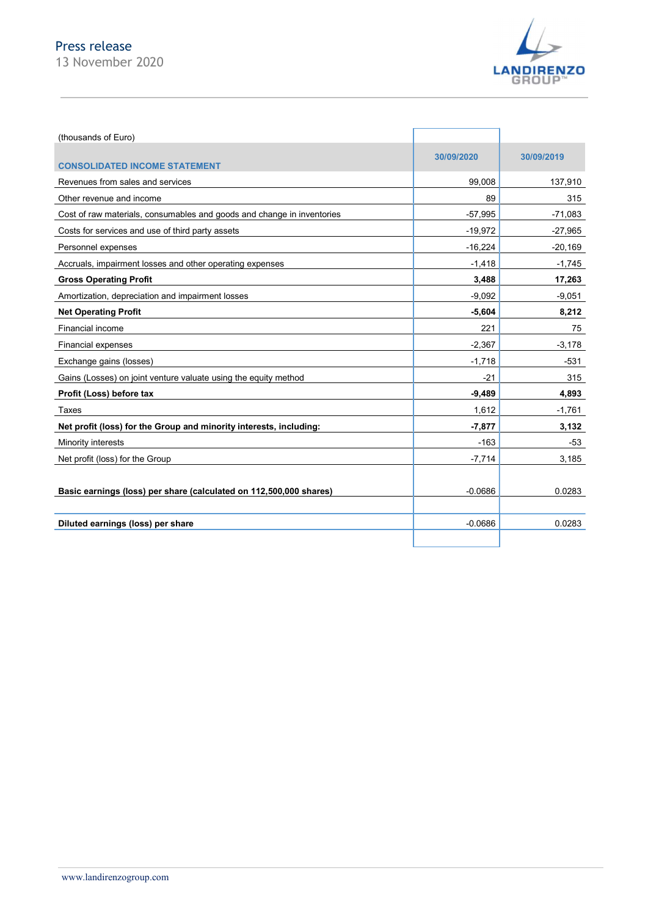## Press release 13 November 2020



| (thousands of Euro)                                                    |            |            |
|------------------------------------------------------------------------|------------|------------|
|                                                                        | 30/09/2020 | 30/09/2019 |
| <b>CONSOLIDATED INCOME STATEMENT</b>                                   |            |            |
| Revenues from sales and services                                       | 99,008     | 137,910    |
| Other revenue and income                                               | 89         | 315        |
| Cost of raw materials, consumables and goods and change in inventories | $-57,995$  | $-71,083$  |
| Costs for services and use of third party assets                       | $-19,972$  | $-27,965$  |
| Personnel expenses                                                     | $-16,224$  | $-20,169$  |
| Accruals, impairment losses and other operating expenses               | $-1,418$   | $-1,745$   |
| <b>Gross Operating Profit</b>                                          | 3,488      | 17,263     |
| Amortization, depreciation and impairment losses                       | $-9,092$   | $-9,051$   |
| <b>Net Operating Profit</b>                                            | $-5,604$   | 8,212      |
| Financial income                                                       | 221        | 75         |
| <b>Financial expenses</b>                                              | $-2,367$   | $-3,178$   |
| Exchange gains (losses)                                                | $-1,718$   | $-531$     |
| Gains (Losses) on joint venture valuate using the equity method        | $-21$      | 315        |
| Profit (Loss) before tax                                               | $-9,489$   | 4,893      |
| Taxes                                                                  | 1,612      | $-1,761$   |
| Net profit (loss) for the Group and minority interests, including:     | $-7,877$   | 3,132      |
| Minority interests                                                     | $-163$     | $-53$      |
| Net profit (loss) for the Group                                        | $-7,714$   | 3,185      |
|                                                                        |            |            |
| Basic earnings (loss) per share (calculated on 112,500,000 shares)     | $-0.0686$  | 0.0283     |
|                                                                        |            |            |
| Diluted earnings (loss) per share                                      | $-0.0686$  | 0.0283     |
|                                                                        |            |            |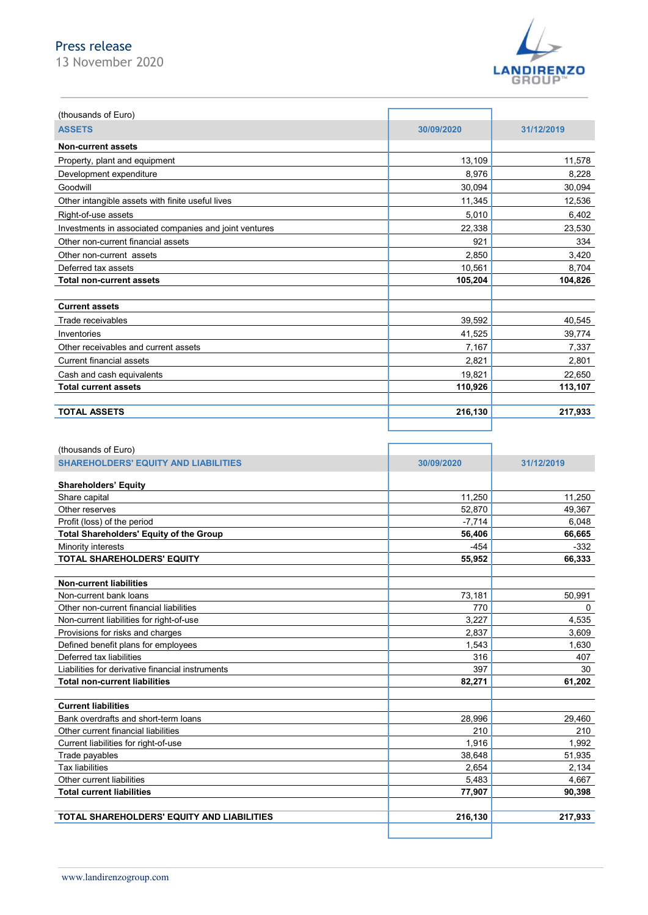# Press release

13 November 2020



| (thousands of Euro)                                    |            |            |
|--------------------------------------------------------|------------|------------|
| <b>ASSETS</b>                                          | 30/09/2020 | 31/12/2019 |
| <b>Non-current assets</b>                              |            |            |
| Property, plant and equipment                          | 13,109     | 11,578     |
| Development expenditure                                | 8,976      | 8,228      |
| Goodwill                                               | 30,094     | 30,094     |
| Other intangible assets with finite useful lives       | 11,345     | 12,536     |
| Right-of-use assets                                    | 5,010      | 6,402      |
| Investments in associated companies and joint ventures | 22,338     | 23,530     |
| Other non-current financial assets                     | 921        | 334        |
| Other non-current assets                               | 2,850      | 3,420      |
| Deferred tax assets                                    | 10,561     | 8,704      |
| <b>Total non-current assets</b>                        | 105,204    | 104,826    |
| <b>Current assets</b>                                  |            |            |
| Trade receivables                                      | 39,592     | 40,545     |
| Inventories                                            | 41,525     | 39,774     |
| Other receivables and current assets                   | 7,167      | 7,337      |
| <b>Current financial assets</b>                        | 2,821      | 2,801      |
| Cash and cash equivalents                              | 19,821     | 22,650     |
| <b>Total current assets</b>                            | 110,926    | 113,107    |
| <b>TOTAL ASSETS</b>                                    | 216,130    | 217,933    |

| (thousands of Euro)                               |            |            |
|---------------------------------------------------|------------|------------|
| <b>SHAREHOLDERS' EQUITY AND LIABILITIES</b>       | 30/09/2020 | 31/12/2019 |
| <b>Shareholders' Equity</b>                       |            |            |
| Share capital                                     | 11,250     | 11,250     |
| Other reserves                                    | 52,870     | 49,367     |
| Profit (loss) of the period                       | $-7,714$   | 6,048      |
| <b>Total Shareholders' Equity of the Group</b>    | 56,406     | 66,665     |
| Minority interests                                | $-454$     | $-332$     |
| <b>TOTAL SHAREHOLDERS' EQUITY</b>                 | 55,952     | 66,333     |
| <b>Non-current liabilities</b>                    |            |            |
| Non-current bank loans                            | 73,181     | 50,991     |
| Other non-current financial liabilities           | 770        | $\Omega$   |
| Non-current liabilities for right-of-use          | 3.227      | 4.535      |
| Provisions for risks and charges                  | 2.837      | 3,609      |
| Defined benefit plans for employees               | 1,543      | 1,630      |
| Deferred tax liabilities                          | 316        | 407        |
| Liabilities for derivative financial instruments  | 397        | 30         |
| <b>Total non-current liabilities</b>              | 82,271     | 61,202     |
| <b>Current liabilities</b>                        |            |            |
| Bank overdrafts and short-term loans              | 28,996     | 29.460     |
| Other current financial liabilities               | 210        | 210        |
| Current liabilities for right-of-use              | 1,916      | 1,992      |
| Trade payables                                    | 38,648     | 51,935     |
| <b>Tax liabilities</b>                            | 2,654      | 2,134      |
| Other current liabilities                         | 5,483      | 4,667      |
| <b>Total current liabilities</b>                  | 77,907     | 90,398     |
| <b>TOTAL SHAREHOLDERS' EQUITY AND LIABILITIES</b> | 216,130    | 217,933    |
|                                                   |            |            |